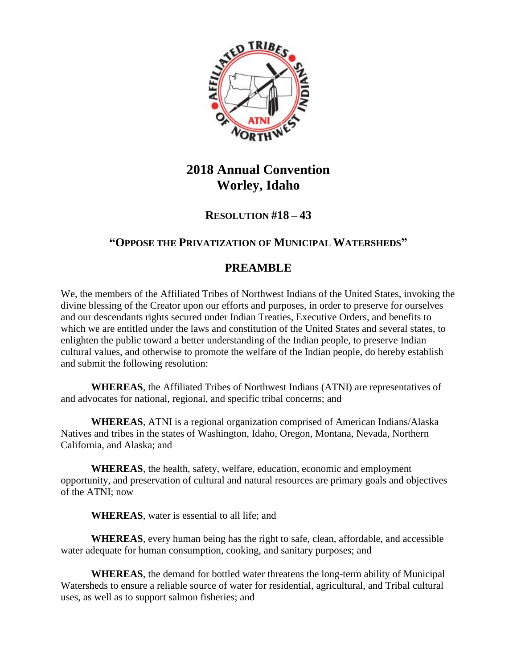

# **2018 Annual Convention Worley, Idaho**

### **RESOLUTION #18 – 43**

#### **"OPPOSE THE PRIVATIZATION OF MUNICIPAL WATERSHEDS"**

## **PREAMBLE**

We, the members of the Affiliated Tribes of Northwest Indians of the United States, invoking the divine blessing of the Creator upon our efforts and purposes, in order to preserve for ourselves and our descendants rights secured under Indian Treaties, Executive Orders, and benefits to which we are entitled under the laws and constitution of the United States and several states, to enlighten the public toward a better understanding of the Indian people, to preserve Indian cultural values, and otherwise to promote the welfare of the Indian people, do hereby establish and submit the following resolution:

**WHEREAS**, the Affiliated Tribes of Northwest Indians (ATNI) are representatives of and advocates for national, regional, and specific tribal concerns; and

**WHEREAS**, ATNI is a regional organization comprised of American Indians/Alaska Natives and tribes in the states of Washington, Idaho, Oregon, Montana, Nevada, Northern California, and Alaska; and

**WHEREAS**, the health, safety, welfare, education, economic and employment opportunity, and preservation of cultural and natural resources are primary goals and objectives of the ATNI; now

**WHEREAS**, water is essential to all life; and

**WHEREAS**, every human being has the right to safe, clean, affordable, and accessible water adequate for human consumption, cooking, and sanitary purposes; and

**WHEREAS**, the demand for bottled water threatens the long-term ability of Municipal Watersheds to ensure a reliable source of water for residential, agricultural, and Tribal cultural uses, as well as to support salmon fisheries; and